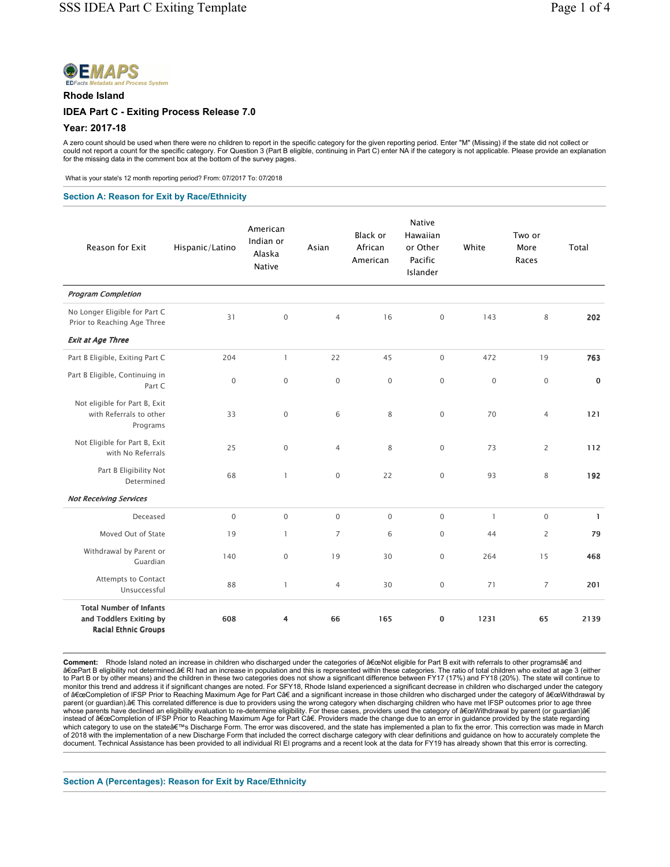

#### Rhode Island

### IDEA Part C - Exiting Process Release 7.0

### Year: 2017-18

A zero count should be used when there were no children to report in the specific category for the given reporting period. Enter "M" (Missing) if the state did not collect or<br>could not report a count for the specific categ

What is your state's 12 month reporting period? From: 07/2017 To: 07/2018

#### Section A: Reason for Exit by Race/Ethnicity

| Reason for Exit                                                                          | Hispanic/Latino | American<br>Indian or<br>Alaska<br><b>Native</b> | Asian          | <b>Black or</b><br>African<br>American | Native<br>Hawaiian<br>or Other<br>Pacific<br>Islander | White        | Two or<br>More<br>Races | Total        |
|------------------------------------------------------------------------------------------|-----------------|--------------------------------------------------|----------------|----------------------------------------|-------------------------------------------------------|--------------|-------------------------|--------------|
| <b>Program Completion</b>                                                                |                 |                                                  |                |                                        |                                                       |              |                         |              |
| No Longer Eligible for Part C<br>Prior to Reaching Age Three                             | 31              | $\mathbf 0$                                      | $\overline{4}$ | 16                                     | $\mathsf{O}\xspace$                                   | 143          | 8                       | 202          |
| <b>Exit at Age Three</b>                                                                 |                 |                                                  |                |                                        |                                                       |              |                         |              |
| Part B Eligible, Exiting Part C                                                          | 204             | $\mathbf{1}$                                     | 22             | 45                                     | $\mathsf{O}\xspace$                                   | 472          | 19                      | 763          |
| Part B Eligible, Continuing in<br>Part C                                                 | $\mathbf 0$     | $\mathbf 0$                                      | $\mathbf{0}$   | $\mathbf{O}$                           | $\mathbf 0$                                           | $\mathbf 0$  | $\mathbf 0$             | $\mathbf 0$  |
| Not eligible for Part B, Exit<br>with Referrals to other<br>Programs                     | 33              | $\mathbf 0$                                      | 6              | 8                                      | $\mathsf{O}\xspace$                                   | 70           | $\overline{4}$          | 121          |
| Not Eligible for Part B, Exit<br>with No Referrals                                       | 25              | $\mathbf 0$                                      | $\overline{4}$ | 8                                      | $\mathsf{O}\xspace$                                   | 73           | $\overline{2}$          | 112          |
| Part B Eligibility Not<br>Determined                                                     | 68              | $\mathbf{1}$                                     | $\mathbf{0}$   | 22                                     | $\mathbf{0}$                                          | 93           | 8                       | 192          |
| <b>Not Receiving Services</b>                                                            |                 |                                                  |                |                                        |                                                       |              |                         |              |
| Deceased                                                                                 | $\mathbf{0}$    | $\mathbf 0$                                      | $\mathbf{0}$   | $\mathsf{O}\xspace$                    | $\mathsf{O}\xspace$                                   | $\mathbf{1}$ | $\mathbf 0$             | $\mathbf{1}$ |
| Moved Out of State                                                                       | 19              | $\mathbf{1}$                                     | $\overline{7}$ | 6                                      | $\mathsf{O}\xspace$                                   | 44           | $\overline{2}$          | 79           |
| Withdrawal by Parent or<br>Guardian                                                      | 140             | $\mathbf{0}$                                     | 19             | 30                                     | $\mathbf{O}$                                          | 264          | 15                      | 468          |
| <b>Attempts to Contact</b><br>Unsuccessful                                               | 88              | $\mathbf{1}$                                     | $\overline{4}$ | 30                                     | $\mathbf 0$                                           | 71           | $\overline{7}$          | 201          |
| <b>Total Number of Infants</b><br>and Toddlers Exiting by<br><b>Racial Ethnic Groups</b> | 608             | 4                                                | 66             | 165                                    | 0                                                     | 1231         | 65                      | 2139         |

Comment: Rhode Island noted an increase in children who discharged under the categories of â€ceNot eligible for Part B exit with referrals to other programs†and "Part B eligibility not determined.†RI had an increase in population and this is represented within these categories. The ratio of total children who exited at age 3 (either<br>to Part B or by other means) and the childr whose parents have declined an eligibility evaluation to re-determine eligibility. For these cases, providers used the category of â€ceWithdrawal by parent (or guardian)â€ instead of "Completion of IFSP Prior to Reaching Maximum Age for Part Câ€. Providers made the change due to an error in guidance provided by the state regarding<br>which category to use on the state's Discharge Form. The of 2018 with the implementation of a new Discharge Form that included the correct discharge category with clear definitions and guidance on how to accurately complete the document. Technical Assistance has been provided to all individual RI EI programs and a recent look at the data for FY19 has already shown that this error is correcting.

Section A (Percentages): Reason for Exit by Race/Ethnicity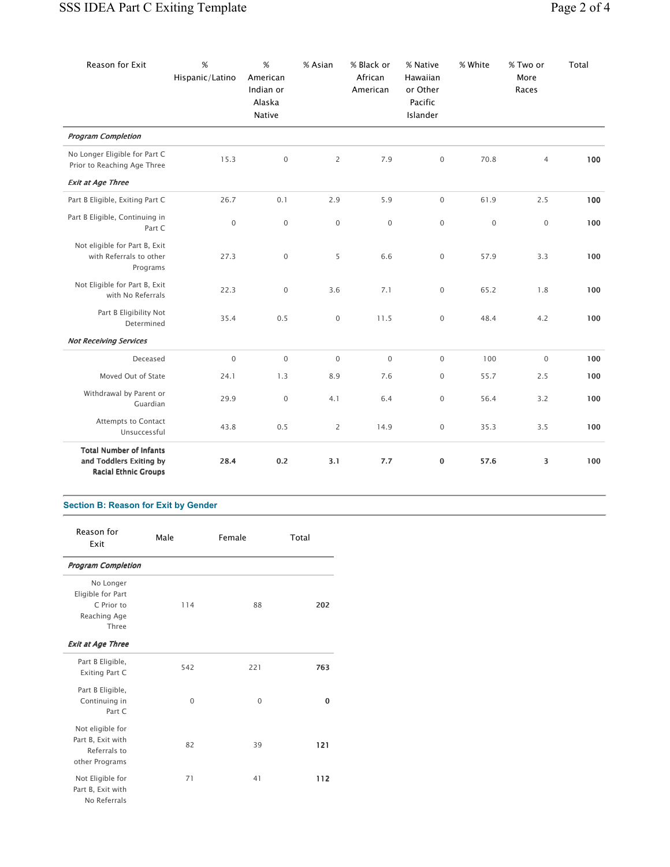| Reason for Exit                                                                          | %<br>Hispanic/Latino | $\%$<br>American<br>Indian or<br>Alaska<br>Native | % Asian             | % Black or<br>African<br>American | % Native<br>Hawaiian<br>or Other<br>Pacific<br>Islander | % White     | % Two or<br>More<br>Races | Total |
|------------------------------------------------------------------------------------------|----------------------|---------------------------------------------------|---------------------|-----------------------------------|---------------------------------------------------------|-------------|---------------------------|-------|
| <b>Program Completion</b>                                                                |                      |                                                   |                     |                                   |                                                         |             |                           |       |
| No Longer Eligible for Part C<br>Prior to Reaching Age Three                             | 15.3                 | $\mathbf 0$                                       | $\overline{2}$      | 7.9                               | $\mathsf{O}\xspace$                                     | 70.8        | $\overline{4}$            | 100   |
| <b>Exit at Age Three</b>                                                                 |                      |                                                   |                     |                                   |                                                         |             |                           |       |
| Part B Eligible, Exiting Part C                                                          | 26.7                 | 0.1                                               | 2.9                 | 5.9                               | 0                                                       | 61.9        | 2.5                       | 100   |
| Part B Eligible, Continuing in<br>Part C                                                 | $\mathbf 0$          | $\mathbf 0$                                       | $\mathsf{O}\xspace$ | $\mathsf{O}\xspace$               | $\mathsf{O}\xspace$                                     | $\mathbf 0$ | $\mathsf{O}\xspace$       | 100   |
| Not eligible for Part B, Exit<br>with Referrals to other<br>Programs                     | 27.3                 | $\mathbf 0$                                       | 5                   | 6.6                               | $\mathsf{O}\xspace$                                     | 57.9        | 3.3                       | 100   |
| Not Eligible for Part B, Exit<br>with No Referrals                                       | 22.3                 | $\mathsf{O}\xspace$                               | 3.6                 | 7.1                               | 0                                                       | 65.2        | 1.8                       | 100   |
| Part B Eligibility Not<br>Determined                                                     | 35.4                 | 0.5                                               | $\mathsf{O}\xspace$ | 11.5                              | $\mathsf{O}\xspace$                                     | 48.4        | 4.2                       | 100   |
| <b>Not Receiving Services</b>                                                            |                      |                                                   |                     |                                   |                                                         |             |                           |       |
| Deceased                                                                                 | $\mathbf 0$          | $\mathbf 0$                                       | $\mathbf 0$         | $\mathsf{O}\xspace$               | $\mathsf{O}\xspace$                                     | 100         | $\mathsf{O}\xspace$       | 100   |
| Moved Out of State                                                                       | 24.1                 | 1.3                                               | 8.9                 | 7.6                               | 0                                                       | 55.7        | 2.5                       | 100   |
| Withdrawal by Parent or<br>Guardian                                                      | 29.9                 | $\mathsf{O}\xspace$                               | 4.1                 | 6.4                               | $\mathsf{O}\xspace$                                     | 56.4        | 3.2                       | 100   |
| <b>Attempts to Contact</b><br>Unsuccessful                                               | 43.8                 | 0.5                                               | $\overline{c}$      | 14.9                              | 0                                                       | 35.3        | 3.5                       | 100   |
| <b>Total Number of Infants</b><br>and Toddlers Exiting by<br><b>Racial Ethnic Groups</b> | 28.4                 | 0.2                                               | 3.1                 | 7.7                               | 0                                                       | 57.6        | 3                         | 100   |

# Section B: Reason for Exit by Gender

| Reason for<br>Exit                                                      | Male     | Female   | Total |
|-------------------------------------------------------------------------|----------|----------|-------|
| <b>Program Completion</b>                                               |          |          |       |
| No Longer<br>Eligible for Part<br>C Prior to<br>Reaching Age<br>Three   | 114      | 88       | 202   |
| <b>Exit at Age Three</b>                                                |          |          |       |
| Part B Eligible,<br><b>Exiting Part C</b>                               | 542      | 221      | 763   |
| Part B Eligible,<br>Continuing in<br>Part C                             | $\Omega$ | $\Omega$ | 0     |
| Not eligible for<br>Part B, Exit with<br>Referrals to<br>other Programs | 82       | 39       | 121   |
| Not Eligible for<br>Part B, Exit with<br>No Referrals                   | 71       | 41       | 112   |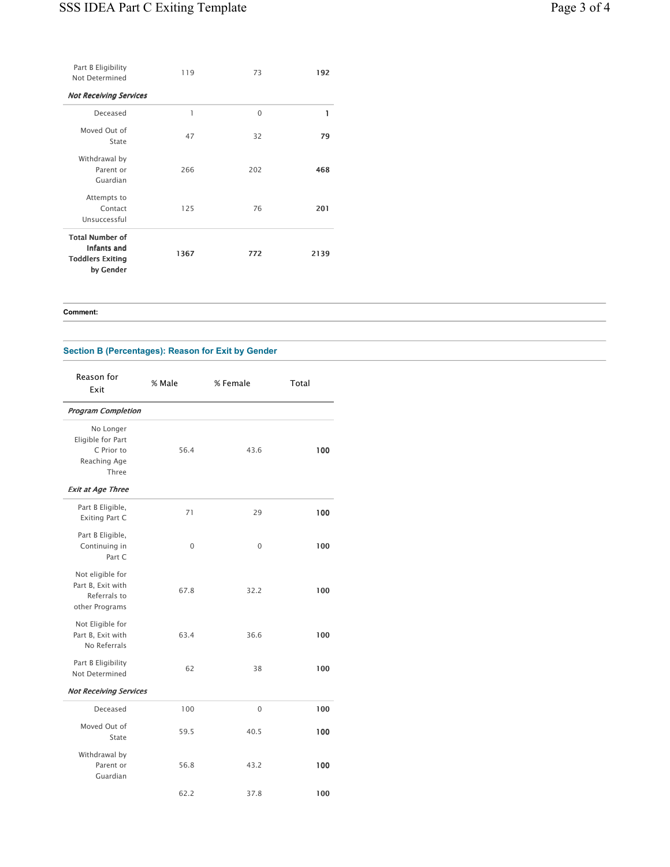| Part B Eligibility<br>Not Determined                                                 | 119  | 73       | 192  |
|--------------------------------------------------------------------------------------|------|----------|------|
| <b>Not Receiving Services</b>                                                        |      |          |      |
| Deceased                                                                             | 1    | $\Omega$ | 1    |
| Moved Out of<br>State                                                                | 47   | 32       | 79   |
| Withdrawal by<br>Parent or<br>Guardian                                               | 266  | 202      | 468  |
| Attempts to<br>Contact<br>Unsuccessful                                               | 125  | 76       | 201  |
| <b>Total Number of</b><br><b>Infants and</b><br><b>Toddlers Exiting</b><br>by Gender | 1367 | 772      | 2139 |

Comment:

Section B (Percentages): Reason for Exit by Gender

| Reason for<br>Exit                                                      | % Male | % Female    | Total |
|-------------------------------------------------------------------------|--------|-------------|-------|
| <b>Program Completion</b>                                               |        |             |       |
| No Longer<br>Eligible for Part<br>C Prior to<br>Reaching Age<br>Three   | 56.4   | 43.6        | 100   |
| <b>Exit at Age Three</b>                                                |        |             |       |
| Part B Eligible,<br><b>Exiting Part C</b>                               | 71     | 29          | 100   |
| Part B Eligible,<br>Continuing in<br>Part C                             | 0      | $\mathbf 0$ | 100   |
| Not eligible for<br>Part B, Exit with<br>Referrals to<br>other Programs | 67.8   | 32.2        | 100   |
| Not Eligible for<br>Part B, Exit with<br>No Referrals                   | 63.4   | 36.6        | 100   |
| Part B Eligibility<br>Not Determined                                    | 62     | 38          | 100   |
| <b>Not Receiving Services</b>                                           |        |             |       |
| Deceased                                                                | 100    | $\mathbf 0$ | 100   |
| Moved Out of<br>State                                                   | 59.5   | 40.5        | 100   |
| Withdrawal by<br>Parent or<br>Guardian                                  | 56.8   | 43.2        | 100   |
|                                                                         | 62.2   | 37.8        | 100   |